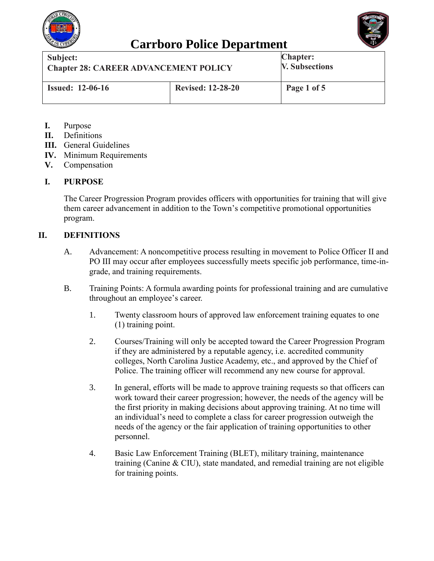

## **Carrboro Police Department**



| Subject:                                     |                          | <b>Chapter:</b>       |
|----------------------------------------------|--------------------------|-----------------------|
| <b>Chapter 28: CAREER ADVANCEMENT POLICY</b> |                          | <b>V. Subsections</b> |
| <b>Issued: 12-06-16</b>                      | <b>Revised: 12-28-20</b> | Page 1 of 5           |

- **I.** Purpose
- **II.** Definitions
- **III.** General Guidelines
- **IV.** Minimum Requirements
- **V.** Compensation

#### **I. PURPOSE**

The Career Progression Program provides officers with opportunities for training that will give them career advancement in addition to the Town's competitive promotional opportunities program.

#### **II. DEFINITIONS**

- A. Advancement: A noncompetitive process resulting in movement to Police Officer II and PO III may occur after employees successfully meets specific job performance, time-ingrade, and training requirements.
- B. Training Points: A formula awarding points for professional training and are cumulative throughout an employee's career.
	- 1. Twenty classroom hours of approved law enforcement training equates to one (1) training point.
	- 2. Courses/Training will only be accepted toward the Career Progression Program if they are administered by a reputable agency, i.e. accredited community colleges, North Carolina Justice Academy, etc., and approved by the Chief of Police. The training officer will recommend any new course for approval.
	- 3. In general, efforts will be made to approve training requests so that officers can work toward their career progression; however, the needs of the agency will be the first priority in making decisions about approving training. At no time will an individual's need to complete a class for career progression outweigh the needs of the agency or the fair application of training opportunities to other personnel.
	- 4. Basic Law Enforcement Training (BLET), military training, maintenance training (Canine & CIU), state mandated, and remedial training are not eligible for training points.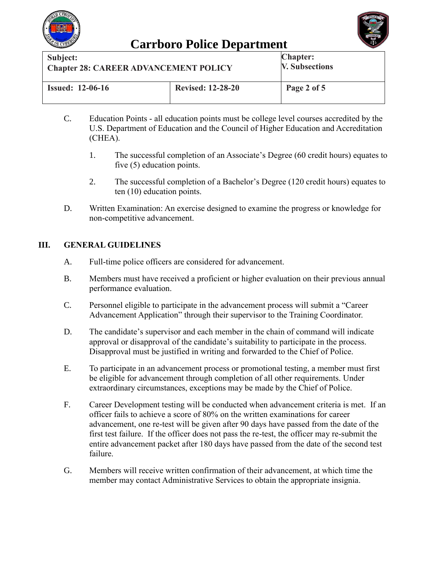



| Subject:                                     |                          | <b>Chapter:</b>       |
|----------------------------------------------|--------------------------|-----------------------|
| <b>Chapter 28: CAREER ADVANCEMENT POLICY</b> |                          | <b>V. Subsections</b> |
| <b>Issued: 12-06-16</b>                      | <b>Revised: 12-28-20</b> | Page 2 of 5           |

- C. Education Points all education points must be college level courses accredited by the U.S. Department of Education and the Council of Higher Education and Accreditation (CHEA).
	- 1. The successful completion of an Associate's Degree (60 credit hours) equates to five (5) education points.
	- 2. The successful completion of a Bachelor's Degree (120 credit hours) equates to ten (10) education points.
- D. Written Examination: An exercise designed to examine the progress or knowledge for non-competitive advancement.

### **III. GENERAL GUIDELINES**

- A. Full-time police officers are considered for advancement.
- B. Members must have received a proficient or higher evaluation on their previous annual performance evaluation.
- C. Personnel eligible to participate in the advancement process will submit a "Career Advancement Application" through their supervisor to the Training Coordinator.
- D. The candidate's supervisor and each member in the chain of command will indicate approval or disapproval of the candidate's suitability to participate in the process. Disapproval must be justified in writing and forwarded to the Chief of Police.
- E. To participate in an advancement process or promotional testing, a member must first be eligible for advancement through completion of all other requirements. Under extraordinary circumstances, exceptions may be made by the Chief of Police.
- F. Career Development testing will be conducted when advancement criteria is met.If an officer fails to achieve a score of 80% on the written examinations for career advancement, one re-test will be given after 90 days have passed from the date of the first test failure. If the officer does not pass the re-test, the officer may re-submit the entire advancement packet after 180 days have passed from the date of the second test failure.
- G. Members will receive written confirmation of their advancement, at which time the member may contact Administrative Services to obtain the appropriate insignia.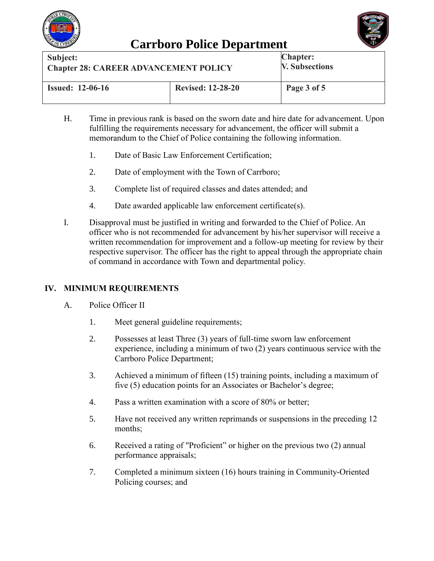



| Subject:                                     |                          | <b>Chapter:</b>       |
|----------------------------------------------|--------------------------|-----------------------|
| <b>Chapter 28: CAREER ADVANCEMENT POLICY</b> |                          | <b>V. Subsections</b> |
| <b>Issued: 12-06-16</b>                      | <b>Revised: 12-28-20</b> | Page 3 of 5           |

- H. Time in previous rank is based on the sworn date and hire date for advancement. Upon fulfilling the requirements necessary for advancement, the officer will submit a memorandum to the Chief of Police containing the following information.
	- 1. Date of Basic Law Enforcement Certification;
	- 2. Date of employment with the Town of Carrboro;
	- 3. Complete list of required classes and dates attended; and
	- 4. Date awarded applicable law enforcement certificate(s).
- I. Disapproval must be justified in writing and forwarded to the Chief of Police. An officer who is not recommended for advancement by his/her supervisor will receive a written recommendation for improvement and a follow-up meeting for review by their respective supervisor. The officer has the right to appeal through the appropriate chain of command in accordance with Town and departmental policy.

### **IV. MINIMUM REQUIREMENTS**

- A. Police Officer II
	- 1. Meet general guideline requirements;
	- 2. Possesses at least Three (3) years of full-time sworn law enforcement experience, including a minimum of two (2) years continuous service with the Carrboro Police Department;
	- 3. Achieved a minimum of fifteen (15) training points, including a maximum of five (5) education points for an Associates or Bachelor's degree;
	- 4. Pass a written examination with a score of 80% or better;
	- 5. Have not received any written reprimands or suspensions in the preceding 12 months;
	- 6. Received a rating of "Proficient" or higher on the previous two (2) annual performance appraisals;
	- 7. Completed a minimum sixteen (16) hours training in Community-Oriented Policing courses; and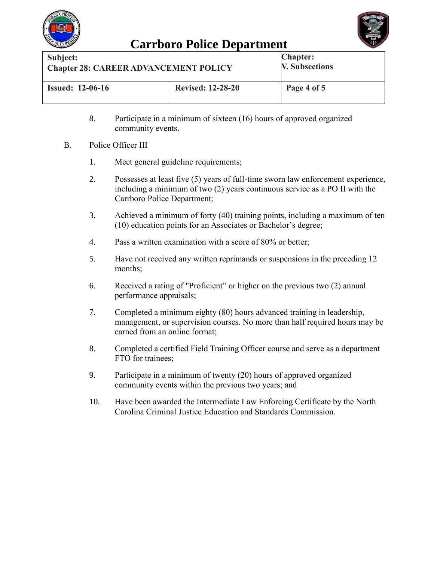

## **Carrboro Police Department**



| Subject:                                     |                          | <b>Chapter:</b>       |
|----------------------------------------------|--------------------------|-----------------------|
| <b>Chapter 28: CAREER ADVANCEMENT POLICY</b> |                          | <b>V. Subsections</b> |
| <b>Issued: 12-06-16</b>                      | <b>Revised: 12-28-20</b> | Page 4 of 5           |

- 8. Participate in a minimum of sixteen (16) hours of approved organized community events.
- B. Police Officer III
	- 1. Meet general guideline requirements;
	- 2. Possesses at least five (5) years of full-time sworn law enforcement experience, including a minimum of two (2) years continuous service as a PO II with the Carrboro Police Department;
	- 3. Achieved a minimum of forty (40) training points, including a maximum of ten (10) education points for an Associates or Bachelor's degree;
	- 4. Pass a written examination with a score of 80% or better;
	- 5. Have not received any written reprimands or suspensions in the preceding 12 months;
	- 6. Received a rating of "Proficient" or higher on the previous two (2) annual performance appraisals;
	- 7. Completed a minimum eighty (80) hours advanced training in leadership, management, or supervision courses. No more than half required hours may be earned from an online format;
	- 8. Completed a certified Field Training Officer course and serve as a department FTO for trainees;
	- 9. Participate in a minimum of twenty (20) hours of approved organized community events within the previous two years; and
	- 10. Have been awarded the Intermediate Law Enforcing Certificate by the North Carolina Criminal Justice Education and Standards Commission.